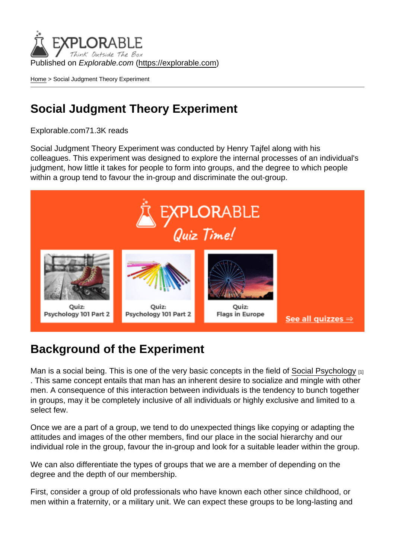Published on Explorable.com (<https://explorable.com>)

[Home](https://explorable.com/) > Social Judgment Theory Experiment

#### Social Judgment Theory Experiment

Explorable.com71.3K reads

Social Judgment Theory Experiment was conducted by Henry Tajfel along with his colleagues. This experiment was designed to explore the internal processes of an individual's judgment, how little it takes for people to form into groups, and the degree to which people within a group tend to favour the in-group and discriminate the out-group.

#### Background of the Experiment

Man is a social being. This is one of the very basic concepts in the field of [Social Psychology](https://explorable.com/social-psychology-experiments) [1] . This same concept entails that man has an inherent desire to socialize and mingle with other men. A consequence of this interaction between individuals is the tendency to bunch together in groups, may it be completely inclusive of all individuals or highly exclusive and limited to a select few.

Once we are a part of a group, we tend to do unexpected things like copying or adapting the attitudes and images of the other members, find our place in the social hierarchy and our individual role in the group, favour the in-group and look for a suitable leader within the group.

We can also differentiate the types of groups that we are a member of depending on the degree and the depth of our membership.

First, consider a group of old professionals who have known each other since childhood, or men within a fraternity, or a military unit. We can expect these groups to be long-lasting and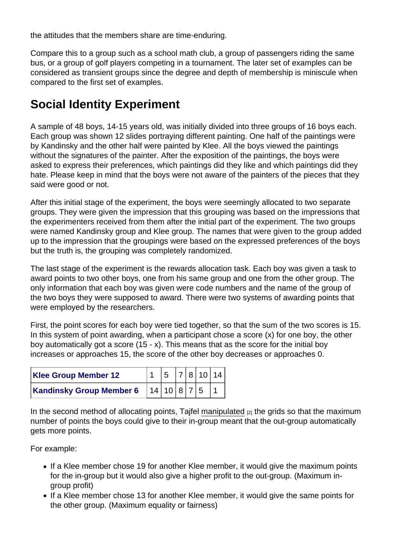the attitudes that the members share are time-enduring.

Compare this to a group such as a school math club, a group of passengers riding the same bus, or a group of golf players competing in a tournament. The later set of examples can be considered as transient groups since the degree and depth of membership is miniscule when compared to the first set of examples.

## Social Identity Experiment

A sample of 48 boys, 14-15 years old, was initially divided into three groups of 16 boys each. Each group was shown 12 slides portraying different painting. One half of the paintings were by Kandinsky and the other half were painted by Klee. All the boys viewed the paintings without the signatures of the painter. After the exposition of the paintings, the boys were asked to express their preferences, which paintings did they like and which paintings did they hate. Please keep in mind that the boys were not aware of the painters of the pieces that they said were good or not.

After this initial stage of the experiment, the boys were seemingly allocated to two separate groups. They were given the impression that this grouping was based on the impressions that the experimenters received from them after the initial part of the experiment. The two groups were named Kandinsky group and Klee group. The names that were given to the group added up to the impression that the groupings were based on the expressed preferences of the boys but the truth is, the grouping was completely randomized.

The last stage of the experiment is the rewards allocation task. Each boy was given a task to award points to two other boys, one from his same group and one from the other group. The only information that each boy was given were code numbers and the name of the group of the two boys they were supposed to award. There were two systems of awarding points that were employed by the researchers.

First, the point scores for each boy were tied together, so that the sum of the two scores is 15. In this system of point awarding, when a participant chose a score  $(x)$  for one boy, the other boy automatically got a score (15 - x). This means that as the score for the initial boy increases or approaches 15, the score of the other boy decreases or approaches 0.

| Klee Group Member 12     |               |  | 5 7 8 10 14 |
|--------------------------|---------------|--|-------------|
| Kandinsky Group Member 6 | 14 10 8 7 5 1 |  |             |

In the second method of allocating points, Tajfel [manipulated](https://explorable.com/independent-variable)  $[2]$  the grids so that the maximum number of points the boys could give to their in-group meant that the out-group automatically gets more points.

For example:

- If a Klee member chose 19 for another Klee member, it would give the maximum points for the in-group but it would also give a higher profit to the out-group. (Maximum ingroup profit)
- If a Klee member chose 13 for another Klee member, it would give the same points for the other group. (Maximum equality or fairness)